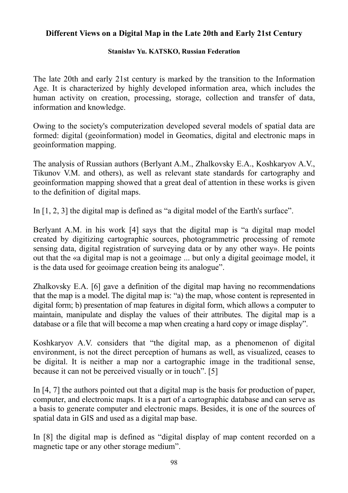## **Different Views on a Digital Map in the Late 20th and Early 21st Century**

## **Stanislav Yu. KATSKO, Russian Federation**

The late 20th and early 21st century is marked by the transition to the Information Age. It is characterized by highly developed information area, which includes the human activity on creation, processing, storage, collection and transfer of data, information and knowledge.

Owing to the society's computerization developed several models of spatial data are formed: digital (geoinformation) model in Geomatics, digital and electronic maps in geoinformation mapping.

The analysis of Russian authors (Berlyant A.M., Zhalkovsky E.A., Koshkaryov A.V., Tikunov V.M. and others), as well as relevant state standards for cartography and geoinformation mapping showed that a great deal of attention in these works is given to the definition of digital maps.

In [1, 2, 3] the digital map is defined as "a digital model of the Earth's surface".

Berlyant A.M. in his work [4] says that the digital map is "a digital map model created by digitizing cartographic sources, photogrammetric processing of remote sensing data, digital registration of surveying data or by any other way». He points out that the «a digital map is not a geoimage ... but only a digital geoimage model, it is the data used for geoimage creation being its analogue".

Zhalkovsky E.A. [6] gave a definition of the digital map having no recommendations that the map is a model. The digital map is: "a) the map, whose content is represented in digital form; b) presentation of map features in digital form, which allows a computer to maintain, manipulate and display the values of their attributes. The digital map is a database or a file that will become a map when creating a hard copy or image display".

Koshkaryov A.V. considers that "the digital map, as a phenomenon of digital environment, is not the direct perception of humans as well, as visualized, ceases to be digital. It is neither a map nor a cartographic image in the traditional sense, because it can not be perceived visually or in touch". [5]

In [4, 7] the authors pointed out that a digital map is the basis for production of paper, computer, and electronic maps. It is a part of a cartographic database and can serve as a basis to generate computer and electronic maps. Besides, it is one of the sources of spatial data in GIS and used as a digital map base.

In [8] the digital map is defined as "digital display of map content recorded on a magnetic tape or any other storage medium".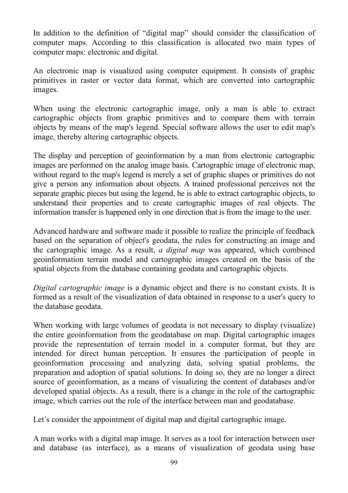In addition to the definition of "digital map" should consider the classification of computer maps. According to this classification is allocated two main types of computer maps: electronic and digital.

An electronic map is visualized using computer equipment. It consists of graphic primitives in raster or vector data format, which are converted into cartographic images.

When using the electronic cartographic image, only a man is able to extract cartographic objects from graphic primitives and to compare them with terrain objects by means of the map's legend. Special software allows the user to edit map's image, thereby altering cartographic objects.

The display and perception of geoinformation by a man from electronic cartographic images are performed on the analog image basis. Cartographic image of electronic map, without regard to the map's legend is merely a set of graphic shapes or primitives do not give a person any information about objects. A trained professional perceives not the separate graphic pieces but using the legend, he is able to extract cartographic objects, to understand their properties and to create cartographic images of real objects. The information transfer is happened only in one direction that is from the image to the user.

Advanced hardware and software made it possible to realize the principle of feedback based on the separation of object's geodata, the rules for constructing an image and the cartographic image. As a result, *a digital map* was appeared, which combined geoinformation terrain model and cartographic images created on the basis of the spatial objects from the database containing geodata and cartographic objects.

*Digital cartographic image* is a dynamic object and there is no constant exists. It is formed as a result of the visualization of data obtained in response to a user's query to the database geodata.

When working with large volumes of geodata is not necessary to display (visualize) the entire geoinformation from the geodatabase on map. Digital cartographic images provide the representation of terrain model in a computer format, but they are intended for direct human perception. It ensures the participation of people in geoinformation processing and analyzing data, solving spatial problems, the preparation and adoption of spatial solutions. In doing so, they are no longer a direct source of geoinformation, as a means of visualizing the content of databases and/or developed spatial objects. As a result, there is a change in the role of the cartographic image, which carries out the role of the interface between man and geodatabase.

Let's consider the appointment of digital map and digital cartographic image.

A man works with a digital map image. It serves as a tool for interaction between user and database (as interface), as a means of visualization of geodata using base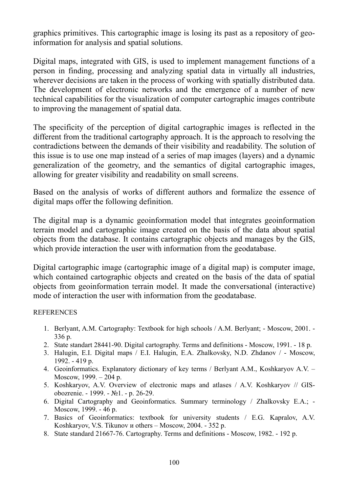graphics primitives. This cartographic image is losing its past as a repository of geoinformation for analysis and spatial solutions.

Digital maps, integrated with GIS, is used to implement management functions of a person in finding, processing and analyzing spatial data in virtually all industries, wherever decisions are taken in the process of working with spatially distributed data. The development of electronic networks and the emergence of a number of new technical capabilities for the visualization of computer cartographic images contribute to improving the management of spatial data.

The specificity of the perception of digital cartographic images is reflected in the different from the traditional cartography approach. It is the approach to resolving the contradictions between the demands of their visibility and readability. The solution of this issue is to use one map instead of a series of map images (layers) and a dynamic generalization of the geometry, and the semantics of digital cartographic images, allowing for greater visibility and readability on small screens.

Based on the analysis of works of different authors and formalize the essence of digital maps offer the following definition.

The digital map is a dynamic geoinformation model that integrates geoinformation terrain model and cartographic image created on the basis of the data about spatial objects from the database. It contains cartographic objects and manages by the GIS, which provide interaction the user with information from the geodatabase.

Digital cartographic image (cartographic image of a digital map) is computer image, which contained cartographic objects and created on the basis of the data of spatial objects from geoinformation terrain model. It made the conversational (interactive) mode of interaction the user with information from the geodatabase.

## **REFERENCES**

- 1. Berlyant, A.M. Cartography: Textbook for high schools / A.M. Berlyant; Мoscow, 2001. 336 p.
- 2. State standart 28441-90. Digital cartography. Terms and definitions Moscow, 1991. 18 p.
- 3. Halugin, E.I. Digital maps / E.I. Halugin, E.A. Zhalkovsky, N.D. Zhdanov / Moscow, 1992. - 419 p.
- 4. Geoinformatics. Explanatory dictionary of key terms / Berlyant A.M., Koshkaryov A.V. Moscow, 1999. – 204 p.
- 5. Koshkaryov, A.V. Overview of electronic maps and atlases / A.V. Koshkaryov // GISobozrenie. - 1999. - №1. - p. 26-29.
- 6. Digital Cartography and Geoinformatics. Summary terminology / Zhalkovsky E.A.; Moscow, 1999. - 46 p.
- 7. Basics of Geoinformatics: textbook for university students / E.G. Kapralov, A.V. Koshkaryov, V.S. Tikunov и others – Moscow, 2004. - 352 p.
- 8. State standard 21667-76. Cartography. Terms and definitions Moscow, 1982. 192 p.